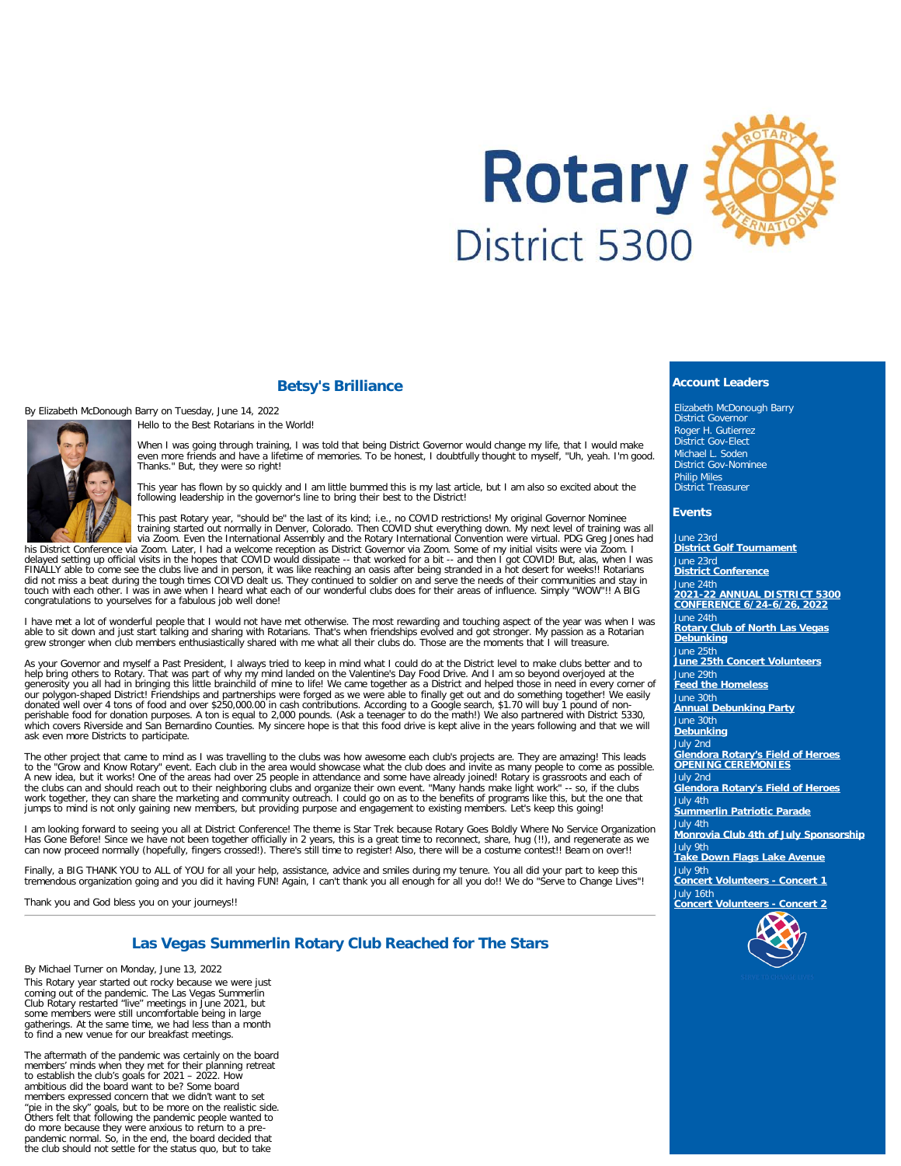

## **Betsy's Brilliance**

By Elizabeth McDonough Barry on Tuesday, June 14, 2022





When I was going through training, I was told that being District Governor would change my life, that I would make<br>even more friends and have a lifetime of memories. To be honest, I doubtfully thought to myself, "Uh, yeah. Thanks." But, they were so right!

This year has flown by so quickly and I am little bummed this is my last article, but I am also so excited about the following leadership in the governor's line to bring their best to the District!

This past Rotary year, "should be" the last of its kind; i.e., no COVID restrictions! My original Governor Nominee<br>training started out normally in Denver, Colorado. Then COVID shut everything down. My next level of traini

his District Conference via Zoom. Later, I had a welcome reception as District Governor via Zoom. Some of my initial visits were via Zoom. I<br>delayed setting up official visits in the hopes that COVID would dissipate -- tha congratulations to yourselves for a fabulous job well done!

I have met a lot of wonderful people that I would not have met otherwise. The most rewarding and touching aspect of the year was when I was able to sit down and just start talking and sharing with Rotarians. That's when friendships evolved and got stronger. My passion as a Rotarian<br>grew stronger when club members enthusiastically shared with me what all their

As your Governor and myself a Past President, I always tried to keep in mind what I could do at the District level to make clubs better and to<br>help bring others to Rotary. That was part of why my mind landed on the Valenti our polygon-shaped District! Friendships and partnerships were forged as we were able to finally get out and do something together! We easily donated well over 4 tons of food and over \$250,000.00 in cash contributions. According to a Google search, \$1.70 will buy 1 pound of non-<br>perishable food for donation purposes. A ton is equal to 2,000 pounds. (Ask a teenag ask even more Districts to participate.

The other project that came to mind as I was travelling to the clubs was how awesome each club's projects are. They are amazing! This leads<br>to the "Grow and Know Rotary" event. Each club in the area would showcase what the the clubs can and should reach out to their neighboring clubs and organize their own event. "Many hands make light work" -- so, if the clubs<br>work together, they can share the marketing and community outreach. I could go on jumps to mind is not only gaining new members, but providing purpose and engagement to existing members. Let's keep this going!

I am looking forward to seeing you all at District Conference! The theme is Star Trek because Rotary Goes Boldly Where No Service Organization Has Gone Before! Since we have not been together officially in 2 years, this is a great time to reconnect, share, hug (!!), and regenerate as we<br>can now proceed normally (hopefully, fingers crossed!). There's still time to

Finally, a BIG THANK YOU to ALL of YOU for all your help, assistance, advice and smiles during my tenure. You all did your part to keep this<br>tremendous organization going and you did it having FUN! Again, I can't thank you

Thank you and God bless you on your journeys!!

## **Las Vegas Summerlin Rotary Club Reached for The Stars**

By Michael Turner on Monday, June 13, 2022

This Rotary year started out rocky because we were just coming out of the pandemic. The Las Vegas Summerlin Club Rotary restarted "live" meetings in June 2021, but some members were still uncomfortable being in large gatherings. At the same time, we had less than a month to find a new venue for our breakfast meetings.

The aftermath of the pandemic was certainly on the board members' minds when they met for their planning retreat to establish the club's goals for 2021 – 2022. How ambitious did the board want to be? Some board members expressed concern that we didn't want to set "pie in the sky" goals, but to be more on the realistic side. Others felt that following the pandemic people wanted to do more because they were anxious to return to a pre-pandemic normal. So, in the end, the board decided that the club should not settle for the status quo, but to take

#### **Account Leaders**

Elizabeth McDonough Barry District Governor Roger H. Gutierrez District Gov-Elect Michael L. Soden District Gov-Nominee Philip Miles District Treasurer

#### **Events**

June 23rd **[District Golf Tournament](https://ismyrotaryclub.com/wp_api_prod_1-1/R_Event.cfm?fixTables=0&fixImages=0&EventID=77586979)** June 23rd **[District Conference](https://ismyrotaryclub.com/wp_api_prod_1-1/R_Event.cfm?fixTables=0&fixImages=0&EventID=77584594)** June 24th **[2021-22 ANNUAL DISTRICT 5300](https://ismyrotaryclub.com/wp_api_prod_1-1/R_Event.cfm?fixTables=0&fixImages=0&EventID=77574804) [CONFERENCE 6/24-6/26, 2022](https://ismyrotaryclub.com/wp_api_prod_1-1/R_Event.cfm?fixTables=0&fixImages=0&EventID=77574804)** June 24th **[Rotary Club of North Las Vegas](https://ismyrotaryclub.com/wp_api_prod_1-1/R_Event.cfm?fixTables=0&fixImages=0&EventID=77593896) [Debunking](https://ismyrotaryclub.com/wp_api_prod_1-1/R_Event.cfm?fixTables=0&fixImages=0&EventID=77593896)** June 25th **[June 25th Concert Volunteers](https://ismyrotaryclub.com/wp_api_prod_1-1/R_Event.cfm?fixTables=0&fixImages=0&EventID=77596656)** June 29th **[Feed the Homeless](https://ismyrotaryclub.com/wp_api_prod_1-1/R_Event.cfm?fixTables=0&fixImages=0&EventID=77593516)** June 30th **[Annual Debunking Party](https://ismyrotaryclub.com/wp_api_prod_1-1/R_Event.cfm?fixTables=0&fixImages=0&EventID=77540622)** June 30th **[Debunking](https://ismyrotaryclub.com/wp_api_prod_1-1/R_Event.cfm?fixTables=0&fixImages=0&EventID=77597064)** July 2nd **[Glendora Rotary's Field of Heroes](https://ismyrotaryclub.com/wp_api_prod_1-1/R_Event.cfm?fixTables=0&fixImages=0&EventID=77590270) [OPENING CEREMONIES](https://ismyrotaryclub.com/wp_api_prod_1-1/R_Event.cfm?fixTables=0&fixImages=0&EventID=77590270)** July 2nd **[Glendora Rotary's Field of Heroes](https://ismyrotaryclub.com/wp_api_prod_1-1/R_Event.cfm?fixTables=0&fixImages=0&EventID=77590269)** July 4th **[Summerlin Patriotic Parade](https://ismyrotaryclub.com/wp_api_prod_1-1/R_Event.cfm?fixTables=0&fixImages=0&EventID=77593070)** July 4th **[Monrovia Club 4th of July Sponsorship](https://ismyrotaryclub.com/wp_api_prod_1-1/R_Event.cfm?fixTables=0&fixImages=0&EventID=77583038)** July 9th **[Take Down Flags Lake Avenue](https://ismyrotaryclub.com/wp_api_prod_1-1/R_Event.cfm?fixTables=0&fixImages=0&EventID=77597363)** July 9th **[Concert Volunteers - Concert 1](https://ismyrotaryclub.com/wp_api_prod_1-1/R_Event.cfm?fixTables=0&fixImages=0&EventID=77597459)** July 16th **[Concert Volunteers - Concert 2](https://ismyrotaryclub.com/wp_api_prod_1-1/R_Event.cfm?fixTables=0&fixImages=0&EventID=77597462)**

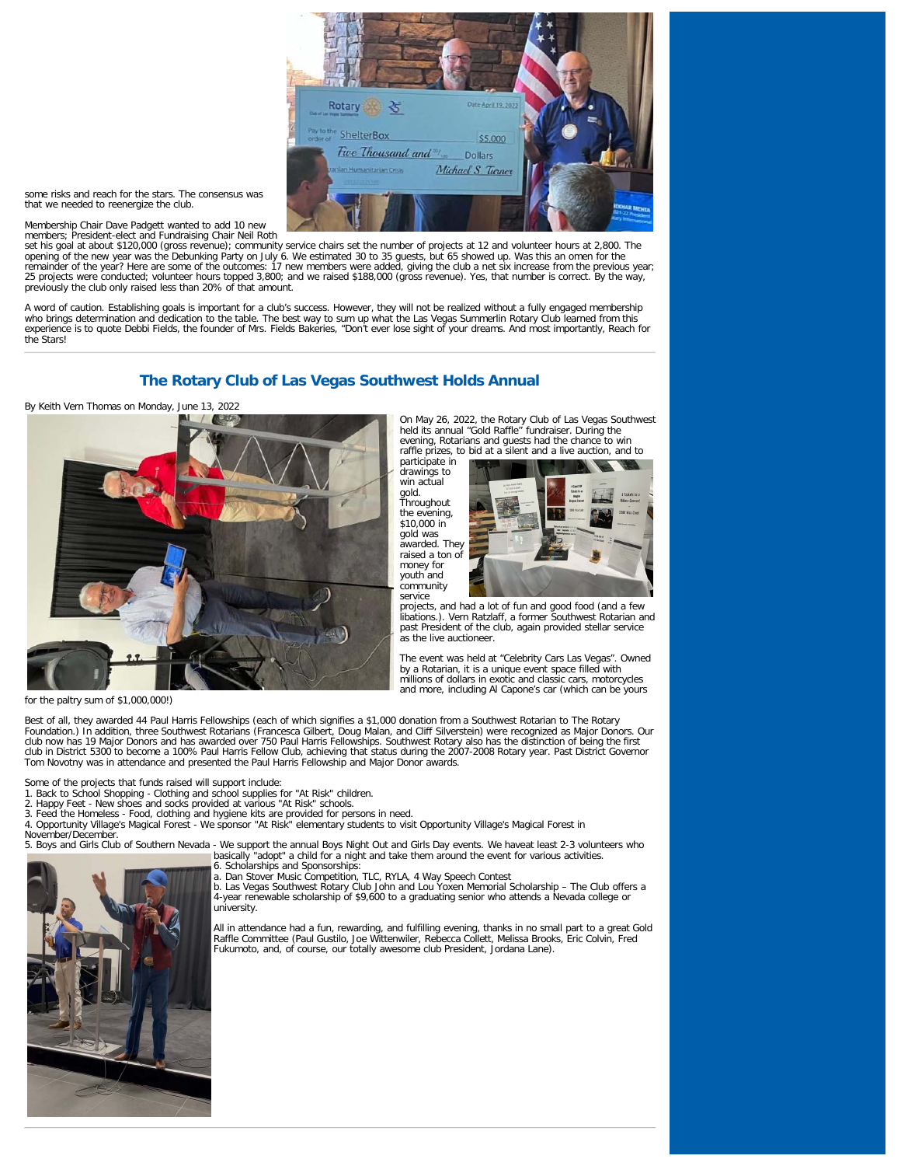

some risks and reach for the stars. The consensus was that we needed to reenergize the club.

Membership Chair Dave Padgett wanted to add 10 new

members; President-elect and Fundraising Chair Neil Roth<br>set his goal at about \$120,000 (gross revenue); community service chairs set the number of projects at 12 and volunteer hours at 2,800. The opening of the new year was the Debunking Party on July 6. We estimated 30 to 35 guests, but 65 showed up. Was this an omen for the remainder of the year? Here are some of the outcomes: 17 new members were added, giving the club a net six increase from the previous year;<br>25 projects were conducted; volunteer hours topped 3,800; and we raised \$188,000 ( previously the club only raised less than 20% of that amount.

A word of caution. Establishing goals is important for a club's success. However, they will not be realized without a fully engaged membership<br>who brings determination and dedication to the table. The best way to sum up wh the Stars!

# **The Rotary Club of Las Vegas Southwest Holds Annual**

By Keith Vern Thomas on Monday, June 13, 2022



for the paltry sum of \$1,000,000!)

Best of all, they awarded 44 Paul Harris Fellowships (each of which signifies a \$1,000 donation from a Southwest Rotarian to The Rotary<br>Foundation.) In addition, three Southwest Rotarians (Francesca Gilbert, Doug Malan, an club now has 19 Major Donors and has awarded over 750 Paul Harris Fellowships. Southwest Rotary also has the distinction of being the first<br>club in District 5300 to become a 100% Paul Harris Fellow Club, achieving that sta Tom Novotny was in attendance and presented the Paul Harris Fellowship and Major Donor awards.

Some of the projects that funds raised will support include:

- 1. Back to School Shopping Clothing and school supplies for "At Risk" children.
- 2. Happy Feet New shoes and socks provided at various "At Risk" schools.<br>3. Feed the Homeless Food, clothing and hygiene kits are provided for per

3. Feed the Homeless - Food, clothing and hygiene kits are provided for persons in need. 4. Opportunity Village's Magical Forest - We sponsor "At Risk" elementary students to visit Opportunity Village's Magical Forest in November/December.

5. Boys and Girls Club of Southern Nevada - We support the annual Boys Night Out and Girls Day events. We haveat least 2-3 volunteers who<br>basically "adopt" a child for a night and take them around the event for various act

6. Scholarships and Sponsorships:<br>a. Dan Stover Music Competition, TLC, RYLA, 4 Way Speech Contest<br>b. Las Vegas Southwest Rotary Club John and Lou Yoxen Memorial Scholarship – The Club offers a 4-year renewable scholarship of \$9,600 to a graduating senior who attends a Nevada college or university.

All in attendance had a fun, rewarding, and fulfilling evening, thanks in no small part to a great Gold Raffle Committee (Paul Gustilo, Joe Wittenwiler, Rebecca Collett, Melissa Brooks, Eric Colvin, Fred Fukumoto, and, of course, our totally awesome club President, Jordana Lane).



On May 26, 2022, the Rotary Club of Las Vegas Southwest held its annual "Gold Raffle" fundraiser. During the evening, Rotarians and guests had the chance to win

participate in drawings to win actual gold. Throughout the evening,  $$10,000$  in gold was awarded. They raised a ton of money for youth and community service

raffle prizes, to bid at a silent and a live auction, and to



projects, and had a lot of fun and good food (and a few libations.). Vern Ratzlaff, a former Southwest Rotarian and past President of the club, again provided stellar service as the live auctioneer.

The event was held at "Celebrity Cars Las Vegas". Owned by a Rotarian, it is a unique event space filled with millions of dollars in exotic and classic cars, motorcycles and more, including Al Capone's car (which can be yours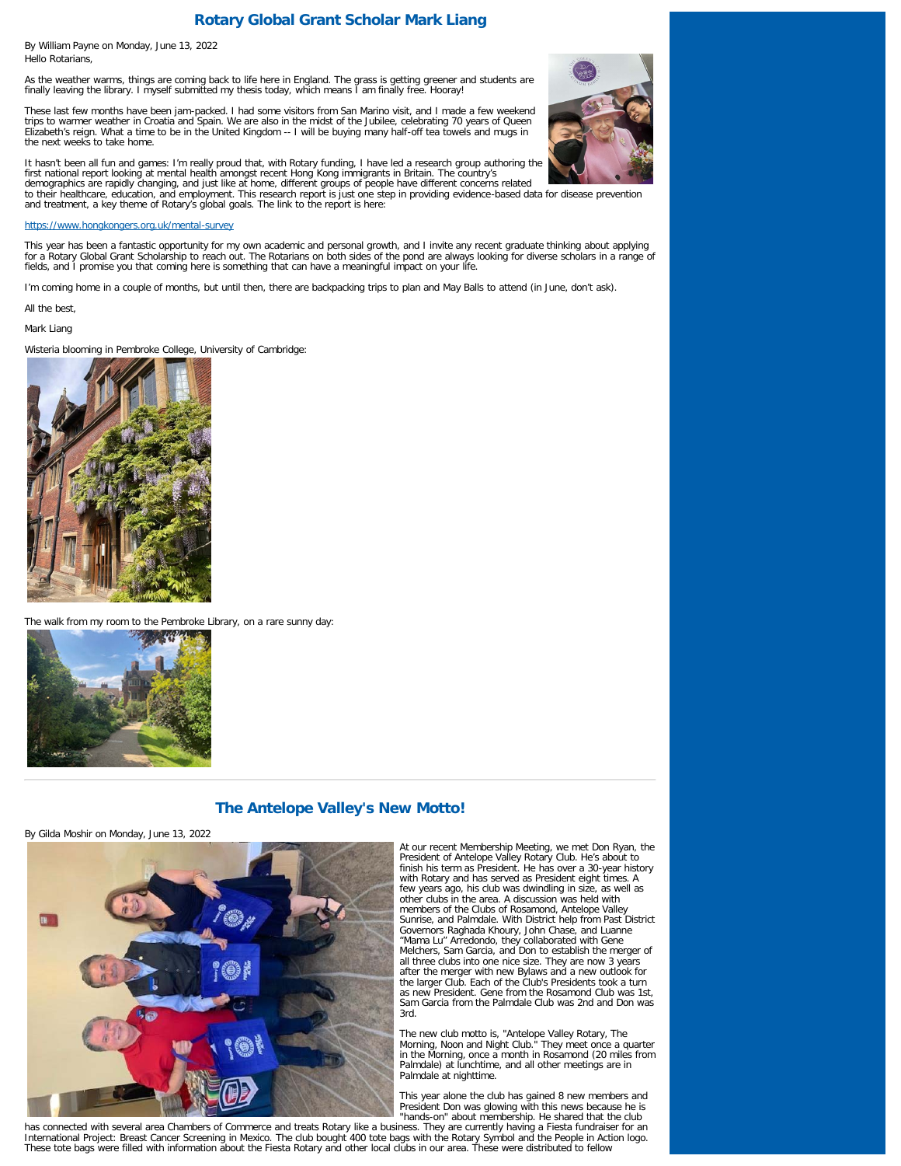# **Rotary Global Grant Scholar Mark Liang**

By William Payne on Monday, June 13, 2022 Hello Rotarians,

As the weather warms, things are coming back to life here in England. The grass is getting greener and students are finally leaving the library. I myself submitted my thesis today, which means I am finally free. Hooray!

These last few months have been jam-packed. I had some visitors from San Marino visit, and I made a few weekend<br>trips to warmer weather in Croatia and Spain. We are also in the midst of the Jubilee, celebrating 70 years of Elizabeth's reign. What a time to be in the United Kingdom -- I will be buying many half-off tea towels and mugs in the next weeks to take home.



It hasn't been all fun and games: I'm really proud that, with Rotary funding, I have led a research group authoring the<br>first national report looking at mental health amongst recent Hong Kong immigrants in Britain. The cou

#### <https://www.hongkongers.org.uk/mental-survey>

This year has been a fantastic opportunity for my own academic and personal growth, and I invite any recent graduate thinking about applying<br>for a Rotary Global Grant Scholarship to reach out. The Rotarians on both sides o fields, and I promise you that coming here is something that can have a meaningful impact on your life.

I'm coming home in a couple of months, but until then, there are backpacking trips to plan and May Balls to attend (in June, don't ask).

All the best,

Mark Liang

Wisteria blooming in Pembroke College, University of Cambridge:



The walk from my room to the Pembroke Library, on a rare sunny day:



## **The Antelope Valley's New Motto!**

By Gilda Moshir on Monday, June 13, 2022



At our recent Membership Meeting, we met Don Ryan, the President of Antelope Valley Rotary Club. He's about to finish his term as President. He has over a 30-year history with Rotary and has served as President eight times. A few years ago, his club was dwindling in size, as well as other clubs in the area. A discussion was held with members of the Clubs of Rosamond, Antelope Valley Sunrise, and Palmdale. With District help from Past District Governors Raghada Khoury, John Chase, and Luanne "Mama Lu" Arredondo, they collaborated with Gene Melchers, Sam Garcia, and Don to establish the merger of all three clubs into one nice size. They are now 3 years after the merger with new Bylaws and a new outlook for the larger Club. Each of the Club's Presidents took a turn as new President. Gene from the Rosamond Club was 1st, Sam Garcia from the Palmdale Club was 2nd and Don was 3rd.

The new club motto is, "Antelope Valley Rotary, The Morning, Noon and Night Club." They meet once a quarter in the Morning, once a month in Rosamond (20 miles from Palmdale) at lunchtime, and all other meetings are in Palmdale at nighttime.

This year alone the club has gained 8 new members and President Don was glowing with this news because he is

""hands-on" about membership. He shared that the club"<br>has connected with several area Chambers of Commerce and treats Rotary like a business. They are currently having a Fiesta fundraiser for an International Project: Breast Cancer Screening in Mexico. The club bought 400 tote bags with the Rotary Symbol and the People in Action logo.<br>These tote bags were filled with information about the Fiesta Rotary and other l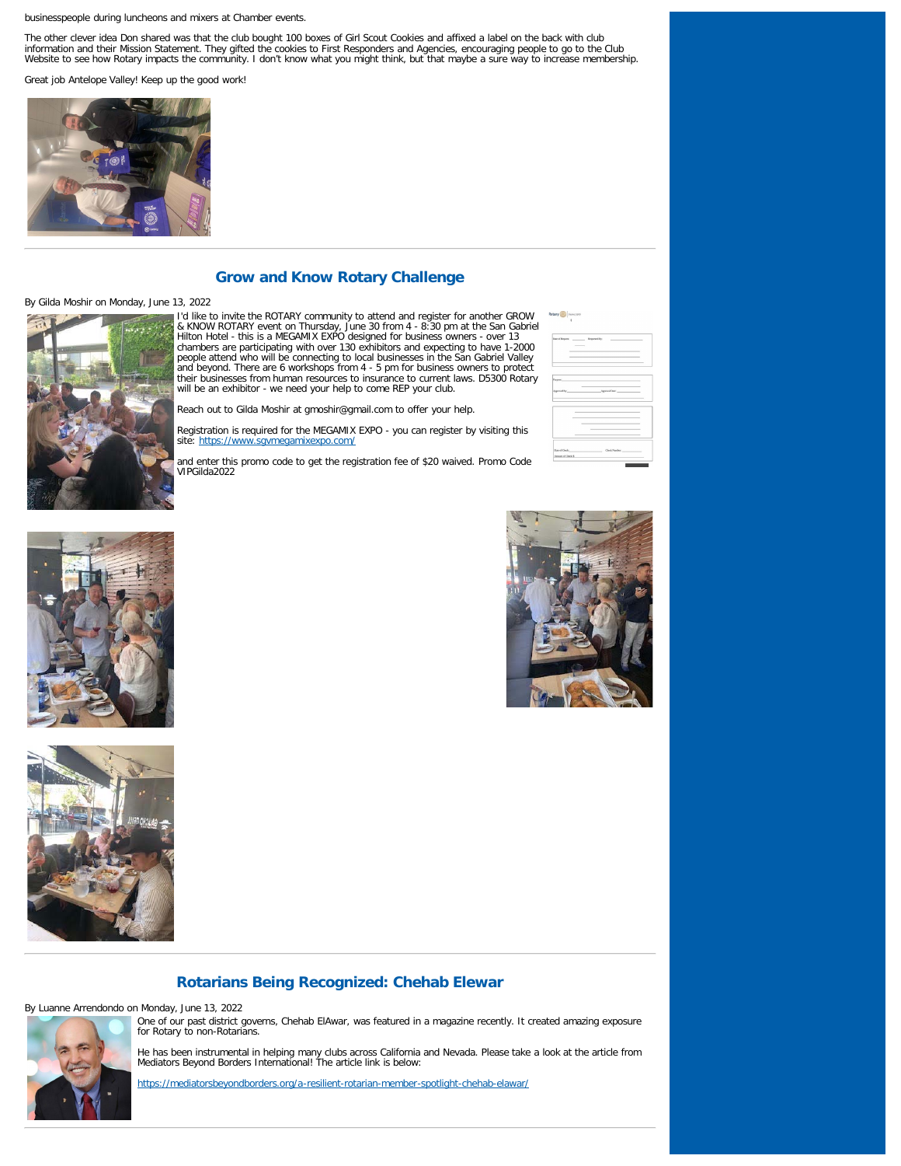#### businesspeople during luncheons and mixers at Chamber events.

The other clever idea Don shared was that the club bought 100 boxes of Girl Scout Cookies and affixed a label on the back with club<br>information and their Mission Statement. They gifted the cookies to First Responders and A

Great job Antelope Valley! Keep up the good work!



## **Grow and Know Rotary Challenge**

#### By Gilda Moshir on Monday, June 13, 2022



I'd like to invite the ROTARY community to attend and register for another GROW<br>& KNOW ROTARY event on Thursday, June 30 from 4 - 8:30 pm at the San Gabriel<br>Hitton Hotel - this is a MEGAMIX EXPO designed for business owner their businesses from human resources to insurance to current laws. D5300 Rotary will be an exhibitor - we need your help to come REP your club.

Reach out to Gilda Moshir at gmoshir@gmail.com to offer your help.

Registration is required for the MEGAMIX EXPO - you can register by visiting this site:<https://www.sgvmegamixexpo.com/>

and enter this promo code to get the registration fee of \$20 waived. Promo Code VIPGilda2022

| $\overline{\phantom{a}}$ |                                                                                                  |  |
|--------------------------|--------------------------------------------------------------------------------------------------|--|
|                          |                                                                                                  |  |
|                          |                                                                                                  |  |
|                          |                                                                                                  |  |
|                          |                                                                                                  |  |
| Purpose.                 | the control of the control of the control of the control of<br>the control of the control of the |  |
|                          | Approved By: Approval Date: Approval Date:                                                       |  |
|                          |                                                                                                  |  |
|                          |                                                                                                  |  |
|                          | the control of the control of the control of the control of                                      |  |
|                          |                                                                                                  |  |
|                          |                                                                                                  |  |
|                          |                                                                                                  |  |
|                          | Date of Check Check Number (New York Number)                                                     |  |
| Amount of Check: S       |                                                                                                  |  |

Rotary **OD** Devels







#### **Rotarians Being Recognized: Chehab Elewar**

By Luanne Arrendondo on Monday, June 13, 2022



He has been instrumental in helping many clubs across California and Nevada. Please take a look at the article from Mediators Beyond Borders International! The article link is below:

<https://mediatorsbeyondborders.org/a-resilient-rotarian-member-spotlight-chehab-elawar/>